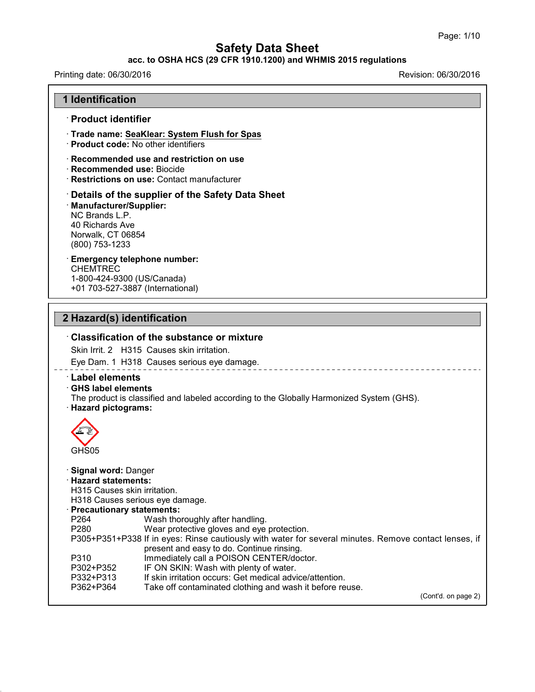#### **acc. to OSHA HCS (29 CFR 1910.1200) and WHMIS 2015 regulations**

## Printing date: 06/30/2016 **Revision: 06/30/2016** Revision: 06/30/2016

43.0

| 1 Identification                                                                                                                                                                 |                                                                                                                                                                                                                                                                                                                                                                                                                                                                                      |
|----------------------------------------------------------------------------------------------------------------------------------------------------------------------------------|--------------------------------------------------------------------------------------------------------------------------------------------------------------------------------------------------------------------------------------------------------------------------------------------------------------------------------------------------------------------------------------------------------------------------------------------------------------------------------------|
| · Product identifier                                                                                                                                                             |                                                                                                                                                                                                                                                                                                                                                                                                                                                                                      |
| · Product code: No other identifiers                                                                                                                                             | Trade name: SeaKlear: System Flush for Spas                                                                                                                                                                                                                                                                                                                                                                                                                                          |
| · Recommended use: Biocide                                                                                                                                                       | Recommended use and restriction on use<br>· Restrictions on use: Contact manufacturer                                                                                                                                                                                                                                                                                                                                                                                                |
| · Manufacturer/Supplier:<br>NC Brands L.P.<br>40 Richards Ave<br>Norwalk, CT 06854<br>(800) 753-1233                                                                             | Details of the supplier of the Safety Data Sheet                                                                                                                                                                                                                                                                                                                                                                                                                                     |
| <b>Emergency telephone number:</b><br><b>CHEMTREC</b><br>1-800-424-9300 (US/Canada)<br>+01 703-527-3887 (International)                                                          |                                                                                                                                                                                                                                                                                                                                                                                                                                                                                      |
| 2 Hazard(s) identification                                                                                                                                                       |                                                                                                                                                                                                                                                                                                                                                                                                                                                                                      |
|                                                                                                                                                                                  | <b>Classification of the substance or mixture</b>                                                                                                                                                                                                                                                                                                                                                                                                                                    |
|                                                                                                                                                                                  | Skin Irrit. 2 H315 Causes skin irritation.                                                                                                                                                                                                                                                                                                                                                                                                                                           |
|                                                                                                                                                                                  | Eye Dam. 1 H318 Causes serious eye damage.                                                                                                                                                                                                                                                                                                                                                                                                                                           |
| <b>Label elements</b><br><b>GHS label elements</b><br>· Hazard pictograms:<br>GHS05                                                                                              | The product is classified and labeled according to the Globally Harmonized System (GHS).                                                                                                                                                                                                                                                                                                                                                                                             |
| · Signal word: Danger<br><b>Hazard statements:</b><br>H315 Causes skin irritation.<br>· Precautionary statements:<br>P264<br>P280<br>P310<br>P302+P352<br>P332+P313<br>P362+P364 | H318 Causes serious eye damage.<br>Wash thoroughly after handling.<br>Wear protective gloves and eye protection.<br>P305+P351+P338 If in eyes: Rinse cautiously with water for several minutes. Remove contact lenses, if<br>present and easy to do. Continue rinsing.<br>Immediately call a POISON CENTER/doctor.<br>IF ON SKIN: Wash with plenty of water.<br>If skin irritation occurs: Get medical advice/attention.<br>Take off contaminated clothing and wash it before reuse. |
|                                                                                                                                                                                  |                                                                                                                                                                                                                                                                                                                                                                                                                                                                                      |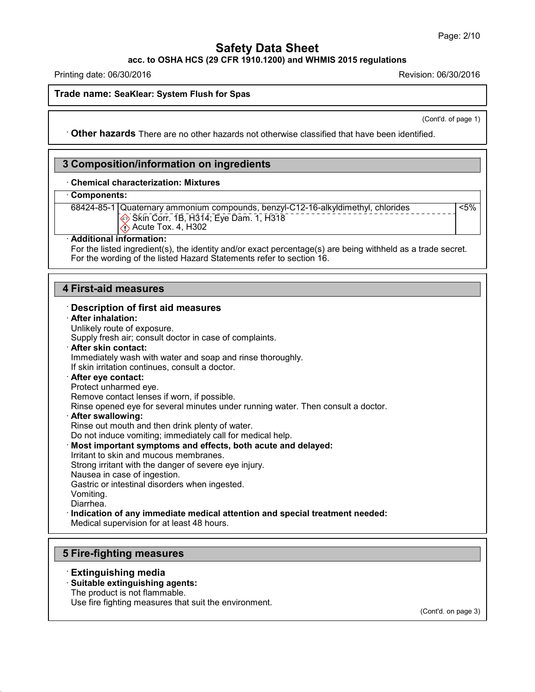**acc. to OSHA HCS (29 CFR 1910.1200) and WHMIS 2015 regulations**

Printing date: 06/30/2016 Revision: 06/30/2016

#### **Trade name: SeaKlear: System Flush forSpas**

(Cont'd. of page 1)

<5%

· **Other hazards** There are no other hazards nototherwise classified that have been identified.

### **3 Composition/information on ingredients**

#### · **Chemical characterization: Mixtures**

#### · **Components:**

68424-85-1 Quaternary ammonium compounds, benzyl-C12-16-alkyldimethyl, chlorides Skin Corr. 1B, H314; Eye Dam. 1, H318  $\bigcirc$  Acute Tox. 4, H302

#### · **Additional information:**

For the listed ingredient(s), the identity and/or exact percentage(s) are being withheld as a trade secret. For the wording of the listed Hazard Statements refer to section 16.

### **4 First-aid measures**

#### · **Description of first aid measures** · **After inhalation:** Unlikely route of exposure. Supply fresh air; consult doctor in case of complaints. · **After skin contact:** Immediately wash with water and soap and rinse thoroughly. If skin irritation continues, consult a doctor. · **After eye contact:** Protect unharmed eye. Remove contact lenses if worn, if possible. Rinse opened eye for several minutes under running water. Then consult a doctor. · **After swallowing:** Rinse out mouth and then drink plenty of water. Do not induce vomiting; immediately call for medical help. · **Most important symptoms and effects, both acute and delayed:** Irritant to skin and mucous membranes. Strong irritant with the danger of severe eye injury. Nausea in case of ingestion. Gastric or intestinal disorders when ingested. Vomiting. Diarrhea. · **Indication of any immediate medical attention and special treatment needed:** Medical supervision for at least 48 hours.

## **5 Fire-fighting measures**

#### · **Extinguishing media**

43.0

#### · **Suitable extinguishing agents:**

The product is not flammable.

Use fire fighting measures that suit the environment.

(Cont'd. on page 3)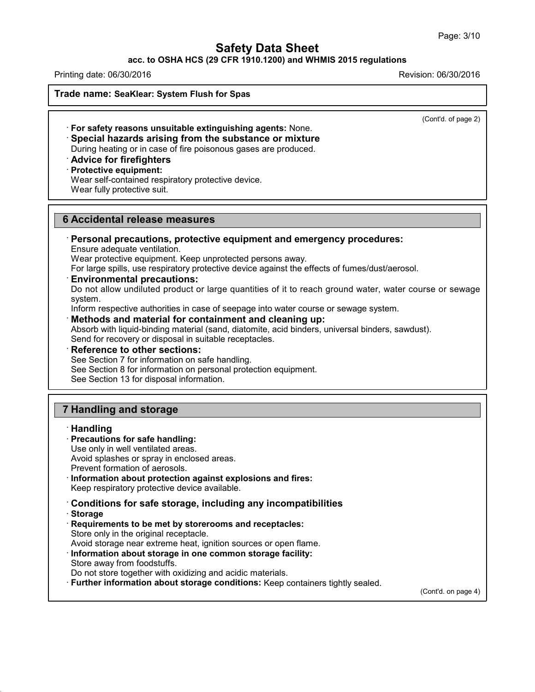#### **acc. to OSHA HCS (29 CFR 1910.1200) and WHMIS 2015 regulations**

Printing date: 06/30/2016 Revision: 06/30/2016

**Trade name: SeaKlear: System Flush forSpas**

(Cont'd. of page 2)

· **For safety reasons unsuitable extinguishing agents:** None. · **Special hazards arising from the substance or mixture** During heating or in case of fire poisonous gases are produced.

### · **Advice for firefighters**

· **Protective equipment:**

Wear self-contained respiratory protective device.

Wear fully protective suit.

### **6 Accidental release measures**

### · **Personal precautions, protective equipment and emergency procedures:**

Ensure adequate ventilation.

Wear protective equipment. Keep unprotected persons away.

For large spills, use respiratory protective device against the effects of fumes/dust/aerosol.

#### · **Environmental precautions:**

Do not allow undiluted product or large quantities of it to reach ground water, water course or sewage system.

Inform respective authorities in case of seepage into water course or sewage system.

· **Methods and material for containment and cleaning up:**

Absorb with liquid-binding material (sand, diatomite, acid binders, universal binders, sawdust). Send for recovery or disposal in suitable receptacles.

· **Reference to other sections:**

See Section 7 for information on safe handling.

See Section 8 for information on personal protection equipment.

See Section 13 for disposal information.

### **7 Handling and storage**

#### · **Handling**

#### · **Precautions for safe handling:**

Use only in well ventilated areas. Avoid splashes or spray in enclosed areas. Prevent formation of aerosols.

- · **Information about protection against explosions and fires:** Keep respiratory protective device available.
- · **Conditions for safe storage, including any incompatibilities**
- · **Storage**

43.0

· **Requirements to be met by storerooms and receptacles:** Store only in the original receptacle.

Avoid storage near extreme heat, ignition sources or open flame.

· **Information about storage in one common storage facility:** Store away from foodstuffs.

Do not store together with oxidizing and acidic materials.

· **Further information about storage conditions:** Keep containers tightly sealed.

(Cont'd. on page 4)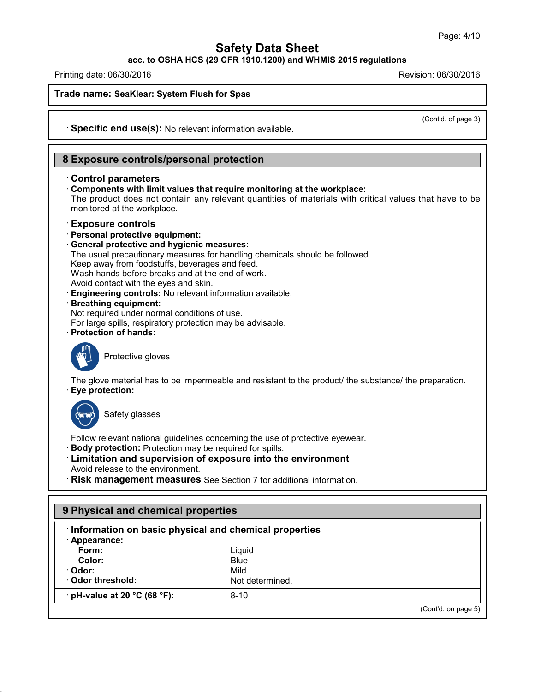**acc. to OSHA HCS (29 CFR 1910.1200) and WHMIS 2015 regulations**

Printing date: 06/30/2016 Revision: 06/30/2016

**Trade name: SeaKlear: System Flush forSpas**

(Cont'd. of page 3)

· **Specific end use(s):** No relevant information available.

### **8 Exposure controls/personal protection**

#### · **Control parameters**

· **Components with limit values that require monitoring at the workplace:** The product does not contain any relevant quantities of materials with critical values that have to be

monitored at the workplace.

#### · **Exposure controls**

- · **Personal protective equipment:**
- · **General protective and hygienic measures:**
- The usual precautionary measures for handling chemicals should be followed.

Keep away from foodstuffs, beverages and feed.

Wash hands before breaks and at the end of work.

Avoid contact with the eyes and skin.

· **Engineering controls:** No relevant information available.

#### · **Breathing equipment:**

Not required under normal conditions of use.

For large spills, respiratory protection may be advisable.

· **Protection of hands:**



Protective gloves

The glove material has to be impermeable and resistant to the product/ the substance/ the preparation. · **Eye protection:**



43.0

Safety glasses

Follow relevant national guidelines concerning the use of protective eyewear.

- · **Body protection:** Protection may be required for spills.
- · **Limitation and supervision of exposure into the environment** Avoid release to the environment.
- · **Risk management measures** See Section 7 for additional information.

| Information on basic physical and chemical properties |                 |  |  |  |
|-------------------------------------------------------|-----------------|--|--|--|
| · Appearance:<br>Form:                                | Liquid          |  |  |  |
| Color:                                                | Blue            |  |  |  |
| · Odor:                                               | Mild            |  |  |  |
| Odor threshold:                                       | Not determined. |  |  |  |
| $\cdot$ pH-value at 20 °C (68 °F):                    | $8 - 10$        |  |  |  |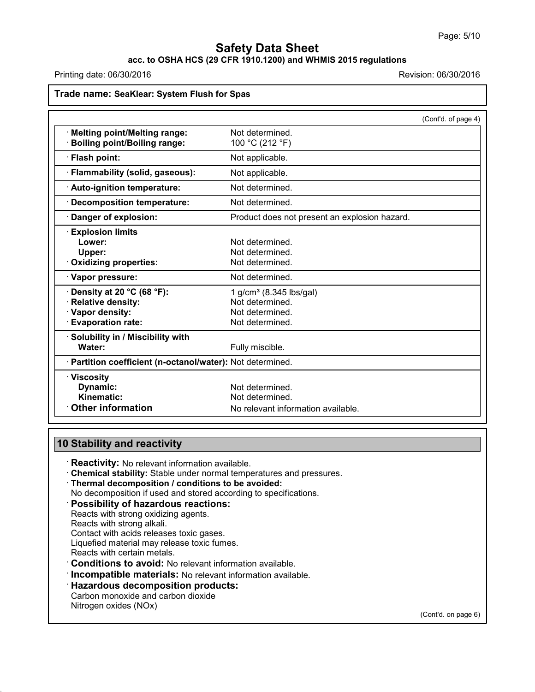### **acc. to OSHA HCS (29 CFR 1910.1200) and WHMIS 2015 regulations**

Printing date: 06/30/2016 Revision: 06/30/2016

| Trade name: SeaKlear: System Flush for Spas                                                         |                                                                                              |  |  |
|-----------------------------------------------------------------------------------------------------|----------------------------------------------------------------------------------------------|--|--|
|                                                                                                     | (Cont'd. of page 4)                                                                          |  |  |
| <b>Melting point/Melting range:</b><br><b>Boiling point/Boiling range:</b>                          | Not determined.<br>100 °C (212 °F)                                                           |  |  |
| · Flash point:                                                                                      | Not applicable.                                                                              |  |  |
| · Flammability (solid, gaseous):                                                                    | Not applicable.                                                                              |  |  |
| · Auto-ignition temperature:                                                                        | Not determined.                                                                              |  |  |
| · Decomposition temperature:                                                                        | Not determined.                                                                              |  |  |
| Danger of explosion:                                                                                | Product does not present an explosion hazard.                                                |  |  |
| <b>Explosion limits</b><br>Lower:<br>Upper:<br>Oxidizing properties:                                | Not determined.<br>Not determined.<br>Not determined.                                        |  |  |
| · Vapor pressure:                                                                                   | Not determined.                                                                              |  |  |
| Density at 20 °C (68 °F):<br><b>Relative density:</b><br>Vapor density:<br><b>Evaporation rate:</b> | 1 g/cm <sup>3</sup> (8.345 lbs/gal)<br>Not determined.<br>Not determined.<br>Not determined. |  |  |
| · Solubility in / Miscibility with<br>Water:                                                        | Fully miscible.                                                                              |  |  |
| · Partition coefficient (n-octanol/water): Not determined.                                          |                                                                                              |  |  |
| $\cdot$ Viscosity<br>Dynamic:<br>Kinematic:                                                         | Not determined.<br>Not determined.                                                           |  |  |
| <b>Other information</b>                                                                            | No relevant information available.                                                           |  |  |

# **10 Stability and reactivity**

· **Reactivity:** No relevant information available.

· **Chemical stability:** Stable under normal temperatures and pressures.

· **Thermal decomposition / conditions to be avoided:**

No decomposition if used and stored according to specifications.

· **Possibility of hazardous reactions:**

Reacts with strong oxidizing agents.

Reacts with strong alkali.

Contact with acids releases toxic gases.

Liquefied material may release toxic fumes.

Reacts with certain metals.

43.0

· **Conditions to avoid:** No relevant information available.

· **Incompatible materials:** No relevant information available.

· **Hazardous decomposition products:**

Carbon monoxide and carbon dioxide Nitrogen oxides (NOx)

(Cont'd. on page 6)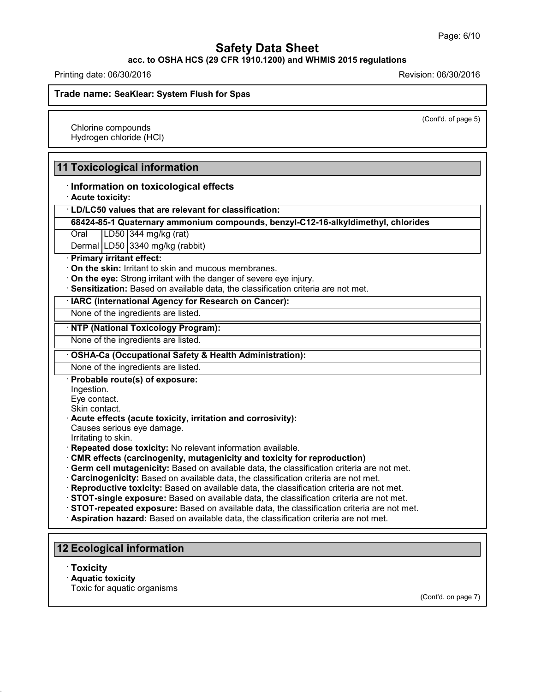**acc. to OSHA HCS (29 CFR 1910.1200) and WHMIS 2015 regulations**

Printing date: 06/30/2016 Revision: 06/30/2016

**Trade name: SeaKlear: System Flush forSpas**

(Cont'd. of page 5)

Chlorine compounds Hydrogen chloride (HCl)

### **11 Toxicological information**

#### · **Information on toxicological effects**

· **Acute toxicity:**

· **LD/LC50 values that are relevant for classification:**

**68424-85-1 Quaternary ammonium compounds, benzyl-C12-16-alkyldimethyl, chlorides**

Oral LD50 344 mg/kg (rat)

Dermal LD50 3340 mg/kg (rabbit)

· **Primary irritant effect:**

· **On the skin:** Irritant to skin and mucous membranes.

· **On the eye:** Strong irritant with the danger of severe eye injury.

· **Sensitization:** Based on available data, the classification criteria are not met.

#### · **IARC (International Agency for Research on Cancer):**

None of the ingredients are listed.

· **NTP (National Toxicology Program):**

None of the ingredients are listed.

#### · **OSHA-Ca (Occupational Safety & Health Administration):**

None of the ingredients are listed.

· **Probable route(s) of exposure:**

Ingestion.

Eye contact.

Skin contact.

· **Acute effects (acute toxicity, irritation and corrosivity):**

Causes serious eye damage.

- Irritating to skin.
- · **Repeated dose toxicity:** No relevant information available.
- · **CMR effects (carcinogenity, mutagenicity and toxicity for reproduction)**
- · **Germ cell mutagenicity:** Based on available data, the classification criteria are not met.
- · **Carcinogenicity:** Based on available data, the classification criteria are not met.

· **Reproductive toxicity:** Based on available data, the classification criteria are not met.

· **STOT-single exposure:** Based on available data, the classification criteria are not met.

· **STOT-repeated exposure:** Based on available data, the classification criteria are not met.

· **Aspiration hazard:** Based on available data, the classification criteria are not met.

### **12 Ecological information**

· **Toxicity**

43.0

- · **Aquatic toxicity**
- Toxic for aquatic organisms

(Cont'd. on page 7)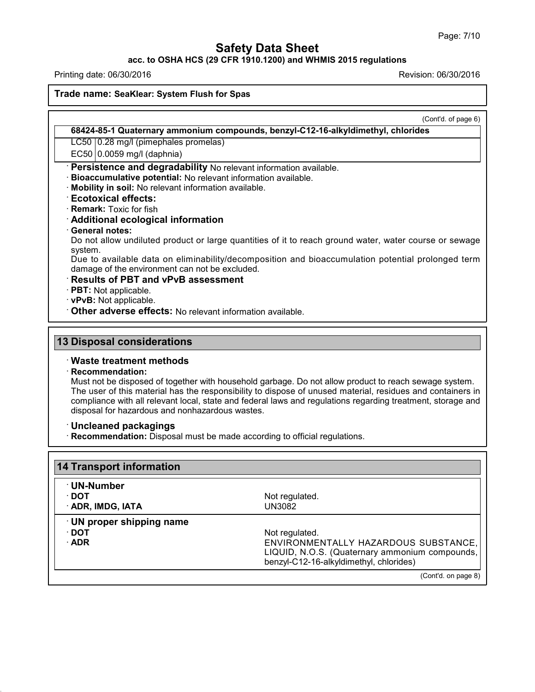#### **acc. to OSHA HCS (29 CFR 1910.1200) and WHMIS 2015 regulations**

Printing date: 06/30/2016 **Revision: 06/30/2016** Revision: 06/30/2016

43.0

**Trade name: SeaKlear: System Flush forSpas**

|                                                        | (Cont'd. of page 6)                                                                                         |
|--------------------------------------------------------|-------------------------------------------------------------------------------------------------------------|
|                                                        | 68424-85-1 Quaternary ammonium compounds, benzyl-C12-16-alkyldimethyl, chlorides                            |
| LC50 0.28 mg/l (pimephales promelas)                   |                                                                                                             |
| EC50 0.0059 mg/l (daphnia)                             |                                                                                                             |
|                                                        | · Persistence and degradability No relevant information available.                                          |
|                                                        | · Bioaccumulative potential: No relevant information available.                                             |
| · Mobility in soil: No relevant information available. |                                                                                                             |
| <b>Ecotoxical effects:</b>                             |                                                                                                             |
| · Remark: Toxic for fish                               |                                                                                                             |
| Additional ecological information                      |                                                                                                             |
| <b>General notes:</b>                                  | Do not allow undiluted product or large quantities of it to reach ground water, water course or sewage      |
| system.                                                |                                                                                                             |
|                                                        | Due to available data on eliminability/decomposition and bioaccumulation potential prolonged term           |
| damage of the environment can not be excluded.         |                                                                                                             |
| $\cdot$ Results of PBT and vPvB assessment             |                                                                                                             |
| · PBT: Not applicable.                                 |                                                                                                             |
| · vPvB: Not applicable.                                |                                                                                                             |
|                                                        | Other adverse effects: No relevant information available.                                                   |
|                                                        |                                                                                                             |
| <b>13 Disposal considerations</b>                      |                                                                                                             |
| <b>Waste treatment methods</b>                         |                                                                                                             |
| · Recommendation:                                      |                                                                                                             |
|                                                        | Must not be disposed of together with household garbage. Do not allow product to reach sewage system.       |
|                                                        | The user of this material has the responsibility to dispose of unused material, residues and containers in  |
| disposal for hazardous and nonhazardous wastes.        | compliance with all relevant local, state and federal laws and regulations regarding treatment, storage and |
|                                                        |                                                                                                             |
| <b>Uncleaned packagings</b>                            |                                                                                                             |
|                                                        | · Recommendation: Disposal must be made according to official regulations.                                  |
|                                                        |                                                                                                             |
| <b>14 Transport information</b>                        |                                                                                                             |
| · UN-Number                                            |                                                                                                             |
| $\cdot$ DOT                                            | Not regulated.                                                                                              |
|                                                        |                                                                                                             |

| · DO I<br>· ADR, IMDG, IATA                     | Not requiated.<br>UN3082                                                                                                                            |
|-------------------------------------------------|-----------------------------------------------------------------------------------------------------------------------------------------------------|
| UN proper shipping name<br>∙ DOT<br>$\cdot$ ADR | Not regulated.<br>ENVIRONMENTALLY HAZARDOUS SUBSTANCE,<br>LIQUID, N.O.S. (Quaternary ammonium compounds,<br>benzyl-C12-16-alkyldimethyl, chlorides) |
|                                                 | (Cont'd. on page 8)                                                                                                                                 |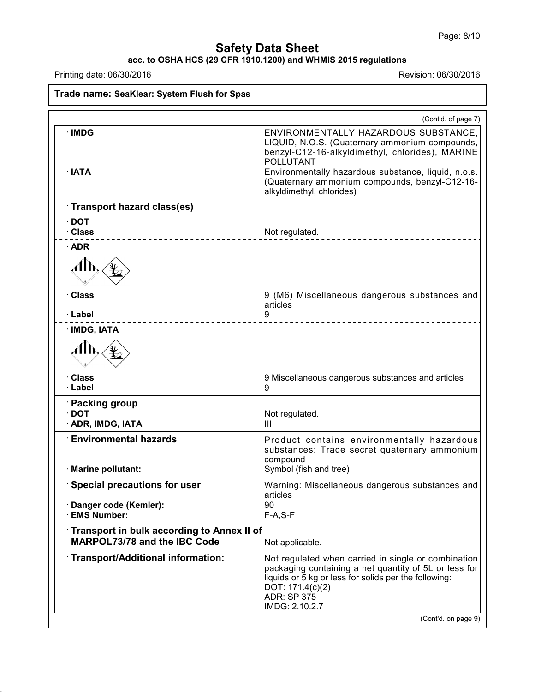### **acc. to OSHA HCS (29 CFR 1910.1200) and WHMIS 2015 regulations**

Printing date: 06/30/2016 Revision: 06/30/2016

43.0

**Trade name: SeaKlear: System Flush forSpas** (Cont'd. of page 7) · **IMDG** ENVIRONMENTALLY HAZARDOUS SUBSTANCE, LIQUID, N.O.S. (Quaternary ammonium compounds, benzyl-C12-16-alkyldimethyl, chlorides), MARINE POLLUTANT · **IATA** Environmentally hazardous substance, liquid, n.o.s. (Quaternary ammonium compounds, benzyl-C12-16 alkyldimethyl, chlorides) · **Transport hazard class(es)** · **DOT** Not regulated. · **ADR** ÆÑ · **Class** 9 (M6) Miscellaneous dangerous substances and articles · **Label** 9 · **IMDG, IATA** Å · **Class** 9 Miscellaneous dangerous substances and articles · **Label** 9 · **Packing group** Not regulated. · **ADR, IMDG, IATA** III · **Environmental hazards** Product contains environmentally hazardous substances: Trade secret quaternary ammonium compound · **Marine pollutant:** Symbol (fish and tree) · **Special precautions for user** Warning: Miscellaneous dangerous substances and articles<br>90 · **Danger code (Kemler):** 90  $·$  **EMS** Number: · **Transport in bulk according to Annex II of MARPOL73/78** and the IBC Code Not applicable. · **Transport/Additional information:** Not regulated when carried in single or combination packaging containing a net quantity of 5L or less for liquids or 5 kg or less for solids per the following: DOT: 171.4(c)(2) ADR: SP 375 IMDG: 2.10.2.7 (Cont'd. on page 9)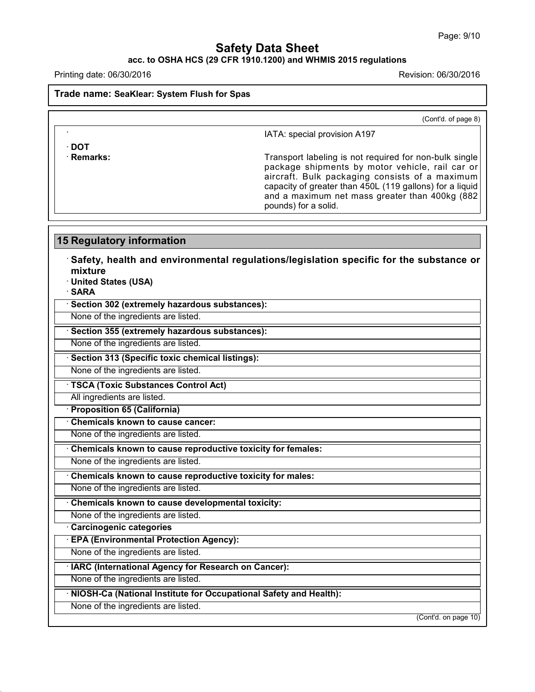## **acc. to OSHA HCS (29 CFR 1910.1200) and WHMIS 2015 regulations**

Printing date: 06/30/2016 Revision: 06/30/2016

· **DOT**

43.0

**Trade name: SeaKlear: System Flush forSpas**

(Cont'd. of page 8)

IATA: special provision A197

· **Remarks:** Transport labeling is not required for non-bulk single package shipments by motor vehicle, rail car or aircraft. Bulk packaging consists of a maximum capacity of greater than 450L (119 gallons) for a liquid and a maximum net mass greater than 400kg (882 pounds) for a solid.

| <b>15 Regulatory information</b>                                                                                                             |                      |
|----------------------------------------------------------------------------------------------------------------------------------------------|----------------------|
| $\cdot$ Safety, health and environmental regulations/legislation specific for the substance or<br>mixture<br>· United States (USA)<br>· SARA |                      |
| · Section 302 (extremely hazardous substances):                                                                                              |                      |
| None of the ingredients are listed.                                                                                                          |                      |
| · Section 355 (extremely hazardous substances):                                                                                              |                      |
| None of the ingredients are listed.                                                                                                          |                      |
| · Section 313 (Specific toxic chemical listings):                                                                                            |                      |
| None of the ingredients are listed.                                                                                                          |                      |
| · TSCA (Toxic Substances Control Act)                                                                                                        |                      |
| All ingredients are listed.                                                                                                                  |                      |
| · Proposition 65 (California)                                                                                                                |                      |
| Chemicals known to cause cancer:                                                                                                             |                      |
| None of the ingredients are listed.                                                                                                          |                      |
| Chemicals known to cause reproductive toxicity for females:                                                                                  |                      |
| None of the ingredients are listed.                                                                                                          |                      |
| Chemicals known to cause reproductive toxicity for males:                                                                                    |                      |
| None of the ingredients are listed.                                                                                                          |                      |
| Chemicals known to cause developmental toxicity:                                                                                             |                      |
| None of the ingredients are listed.                                                                                                          |                      |
| Carcinogenic categories                                                                                                                      |                      |
| · EPA (Environmental Protection Agency):                                                                                                     |                      |
| None of the ingredients are listed.                                                                                                          |                      |
| · IARC (International Agency for Research on Cancer):                                                                                        |                      |
| None of the ingredients are listed.                                                                                                          |                      |
| · NIOSH-Ca (National Institute for Occupational Safety and Health):                                                                          |                      |
| None of the ingredients are listed.                                                                                                          |                      |
|                                                                                                                                              | (Cont'd. on page 10) |